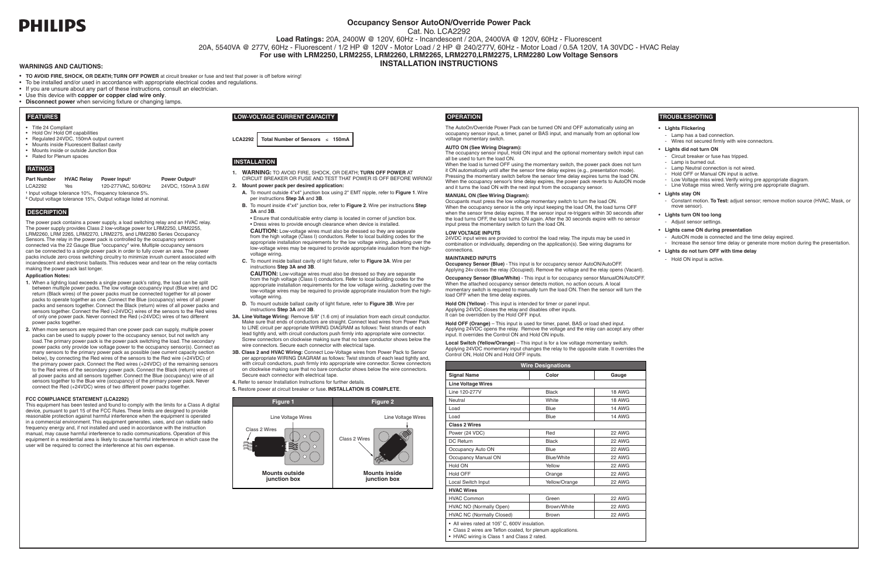# **PHILIPS**

# **Occupancy Sensor AutoON/Override Power Pack**

Cat. No. LCA2292

**Load Ratings:** 20A, 2400W @ 120V, 60Hz - Incandescent / 20A, 2400VA @ 120V, 60Hz - Fluorescent 20A, 5540VA @ 277V, 60Hz - Fluorescent / 1/2 HP @ 120V - Motor Load / 2 HP @ 240/277V, 60Hz - Motor Load / 0.5A 120V, 1A 30VDC - HVAC Relay **For use with LRM2250, LRM2255, LRM2260, LRM2265, LRM2270,LRM2275, LRM2280 Low Voltage Sensors**

**WARNINGS AND CAUTIONS: INSTALLATION INSTRUCTIONS**

- • **TO AVOID FIRE, SHOCK, OR DEATH; TURN OFF POWER** at circuit breaker or fuse and test that power is off before wiring!
- • To be installed and/or used in accordance with appropriate electrical codes and regulations.
- If you are unsure about any part of these instructions, consult an electrician
- • Use this device with **copper or copper clad wire only**.
- • **Disconnect power** when servicing fixture or changing lamps.

- • Title 24 Compliant
- Hold On/ Hold Off capabilities
- • Regulated 24VDC, 150mA output current
- Mounts inside Fluorescent Ballast cavity • Mounts inside or outside Junction Box
- Rated for Plenum spaces

## **• Lights Flickering**

- Lamp has a bad connection.
- Wires not secured firmly with wire connectors.

# **• Lights did not turn ON**

- Circuit breaker or fuse has tripped.
- Lamp is burned out.
- Lamp Neutral connection is not wired.
- Hold OFF or Manual ON input is active.
- Low Voltage miss wired. Verify wiring pre appropriate diagram Line Voltage miss wired. Verify wiring pre appropriate diagram.
- 
- **• Lights stay ON**
- Constant motion. **To Test:** adjust sensor; remove motion source (HVAC, Mask, or move sensor).
- **• Lights turn ON too long**
- Adjust sensor settings.
- **• Lights came ON during presentation**
- AutoON mode is connected and the time delay expired.
- Increase the sensor time delay or generate more motion during the presentation.

# **• Lights do not turn OFF with time delay**

- Hold ON input is active.

# **FEATURES**

# **RATINGS**

#### **Part Number HVAC Relay Power Input<sup>1</sup>**

#### **Power Output2**

LCA2292 Yes 120-277VAC, 50/60Hz 24VDC, 150mA 3.6W **<sup>1</sup>** Input voltage tolerance 10%, Frequency tolerance 5%.

**<sup>2</sup>** Output voltage tolerance 15%, Output voltage listed at nominal.

- **1.** When a lighting load exceeds a single power pack's rating, the load can be split between multiple power packs. The low voltage occupancy input (Blue wire) and DC return (Black wires) of the power packs must be connected together for all power packs to operate together as one. Connect the Blue (occupancy) wires of all power packs and sensors together. Connect the Black (return) wires of all power packs and sensors together. Connect the Red (+24VDC) wires of the sensors to the Red wires of only one power pack. Never connect the Red (+24VDC) wires of two different power packs together.
- **2.** When more sensors are required than one power pack can supply, multiple power packs can be used to supply power to the occupancy sensor, but not switch any load. The primary power pack is the power pack switching the load. The secondary power packs only provide low voltage power to the occupancy sensor(s). Connect as many sensors to the primary power pack as possible (see current capacity section below), by connecting the Red wires of the sensors to the Red wire (+24VDC) of the primary power pack. Connect the Red wires (+24VDC) of the remaining sensors to the Red wires of the secondary power pack. Connect the Black (return) wires of all power packs and all sensors together. Connect the Blue (occupancy) wire of all sensors together to the Blue wire (occupancy) of the primary power pack. Never connect the Red (+24VDC) wires of two different power packs together.

# **DESCRIPTION**

The power pack contains a power supply, a load switching relay and an HVAC relay. The power supply provides Class 2 low-voltage power for LRM2250, LRM2255, LRM2260, LRM 2265, LRM2270, LRM2275, and LRM2280 Series Occupancy Sensors. The relay in the power pack is controlled by the occupancy sensors connected via the 22 Gauge Blue "occupancy" wire. Multiple occupancy sensors can be connected to a single power pack in order to fully cover an area. The power packs include zero cross switching circuitry to minimize inrush current associated with incandescent and electronic ballasts. This reduces wear and tear on the relay contacts making the power pack last longer.

## **Application Notes:**

The occupancy sensor input, Hold ON input and the optional momentary switch input can all be used to turn the load ON.

### **FCC COMPLIANCE STATEMENT (LCA2292)**

This equipment has been tested and found to comply with the limits for a Class A digital device, pursuant to part 15 of the FCC Rules. These limits are designed to provide reasonable protection against harmful interference when the equipment is operated in a commercial environment. This equipment generates, uses, and can radiate radio frequency energy and, if not installed and used in accordance with the instruction manual, may cause harmful interference to radio communications. Operation of this equipment in a residential area is likely to cause harmful interference in which case the user will be required to correct the interference at his own expense.

**Hold ON (Yellow)** - This input is intended for timer or panel input. Applying 24VDC closes the relay and disables other inputs. It can be overridden by the Hold OFF input.

# **LOW-VOLTAGE CURRENT CAPACITY**

# **INSTALLATION**

**LCA2292 Total Number of Sensors** ≤ **150mA**

- **1. WARNING:** TO AVOID FIRE, SHOCK, OR DEATH; **TURN OFF POWER** AT CIRCUIT BREAKER OR FUSE AND TEST THAT POWER IS OFF BEFORE WIRING!
- **2. Mount power pack per desired application:**
- **A.** To mount outside 4"x4" junction box using 2" EMT nipple, refer to **Figure 1**. Wire per instructions **Step 3A** and **3B**.
- **B.** To mount inside 4"x4" junction box, refer to **Figure 2**. Wire per instructions **Step 3A** and **3B**.
- Ensure that conduit/cable entry clamp is located in corner of junction box. • Dress wires to provide enough clearance when device is installed.

 **CAUTION:** Low-voltage wires must also be dressed so they are separate from the high voltage (Class I) conductors. Refer to local building codes for the appropriate installation requirements for the low voltage wiring. Jacketing over the low-voltage wires may be required to provide appropriate insulation from the highvoltage wiring.

**C.** To mount inside ballast cavity of light fixture, refer to **Figure 3A**. Wire per instructions **Step 3A and 3B**.

 **CAUTION:** Low-voltage wires must also be dressed so they are separate from the high voltage (Class I) conductors. Refer to local building codes for the appropriate installation requirements for the low voltage wiring. Jacketing over the low-voltage wires may be required to provide appropriate insulation from the highvoltage wiring.

- **D.** To mount outside ballast cavity of light fixture, refer to **Figure 3B**. Wire per instructions **Step 3A** and **3B**.
- **3A. Line Voltage Wiring:** Remove 5/8" (1.6 cm) of insulation from each circuit conductor. Make sure that ends of conductors are straight. Connect lead wires from Power Pack to LINE circuit per appropriate WIRING DIAGRAM as follows: Twist strands of each lead tightly and, with circuit conductors push firmly into appropriate wire connector. Screw connectors on clockwise making sure that no bare conductor shows below the wire connectors. Secure each connector with electrical tape.
- **3B. Class 2 and HVAC Wiring:** Connect Low-Voltage wires from Power Pack to Sensor per appropriate WIRING DIAGRAM as follows: Twist strands of each lead tightly and, with circuit conductors, push firmly into appropriate wire connector. Screw connectors on clockwise making sure that no bare conductor shows below the wire connectors. Secure each connector with electrical tape.
- **4.** Refer to sensor Installation Instructions for further details.

**5.** Restore power at circuit breaker or fuse. **INSTALLATION IS COMPLETE**.



# **OPERATION**

The AutoOn/Override Power Pack can be turned ON and OFF automatically using an occupancy sensor input, a timer, panel or BAS input, and manually from an optional low voltage momentary switch.

#### **AUTO ON (See Wiring Diagram):**

When the load is turned OFF using the momentary switch, the power pack does not turn it ON automatically until after the sensor time delay expires (e.g., presentation mode). Pressing the momentary switch before the sensor time delay expires turns the load ON. When the occupancy sensor's time delay expires, the power pack reverts to AutoON mode and it turns the load ON with the next input from the occupancy sensor.

# **MANUAL ON (See Wiring Diagram):**

Occupants must press the low voltage momentary switch to turn the load ON. When the occupancy sensor is the only input keeping the load ON, the load turns OFF when the sensor time delay expires. If the sensor input re-triggers within 30 seconds after the load turns OFF, the load turns ON again. After the 30 seconds expire with no sensor input press the momentary switch to turn the load ON.

#### **LOW VOLTAGE INPUTS**

24VDC input wires are provided to control the load relay. The inputs may be used in combination or individually, depending on the application(s). See wiring diagrams for connections.

### **MAINTAINED INPUTS**

**Occupancy Sensor (Blue)** - This input is for occupancy sensor AutoON/AutoOFF. Applying 24v closes the relay (Occupied). Remove the voltage and the relay opens (Vacant).

**Occupancy Sensor (Blue/White)** - This input is for occupancy sensor ManualON/AutoOFF. When the attached occupancy sensor detects motion, no action occurs. A local momentary switch is required to manually turn the load ON. Then the sensor will turn the load OFF when the time delay expires.

**Hold OFF (Orange)** – This input is used for timer, panel, BAS or load shed input. Applying 24VDC opens the relay. Remove the voltage and the relay can accept any other input. It overrides the Control ON and Hold ON inputs.

**Local Switch (Yellow/Orange)** – This input is for a low voltage momentary switch. Applying 24VDC momentary input changes the relay to the opposite state. It overrides the Control ON, Hold ON and Hold OFF inputs.

• HVAC wiring is Class 1 and Class 2 rated.

| <b>Wire Designations</b>                                                                                   |                   |               |
|------------------------------------------------------------------------------------------------------------|-------------------|---------------|
| <b>Signal Name</b>                                                                                         | Color             | Gauge         |
| <b>Line Voltage Wires</b>                                                                                  |                   |               |
| Line 120-277V                                                                                              | Black             | 18 AWG        |
| Neutral                                                                                                    | White             | 18 AWG        |
| Load                                                                                                       | Blue              | <b>14 AWG</b> |
| Load                                                                                                       | Blue              | 14 AWG        |
| <b>Class 2 Wires</b>                                                                                       |                   |               |
| Power (24 VDC)                                                                                             | Red               | <b>22 AWG</b> |
| DC Return                                                                                                  | Black             | <b>22 AWG</b> |
| Occupancy Auto ON                                                                                          | Blue              | <b>22 AWG</b> |
| Occupancy Manual ON                                                                                        | <b>Blue/White</b> | <b>22 AWG</b> |
| Hold ON                                                                                                    | Yellow            | <b>22 AWG</b> |
| <b>Hold OFF</b>                                                                                            | Orange            | 22 AWG        |
| <b>Local Switch Input</b>                                                                                  | Yellow/Orange     | 22 AWG        |
| <b>HVAC Wires</b>                                                                                          |                   |               |
| <b>HVAC Common</b>                                                                                         | Green             | <b>22 AWG</b> |
| HVAC NO (Normally Open)                                                                                    | Brown/White       | 22 AWG        |
| <b>HVAC NC (Normally Closed)</b>                                                                           | <b>Brown</b>      | 22 AWG        |
| • All wires rated at 105° C, 600V insulation.<br>Class 2 wires are Teflon coated, for plenum applications. |                   |               |

# **TROUBLESHOTING**